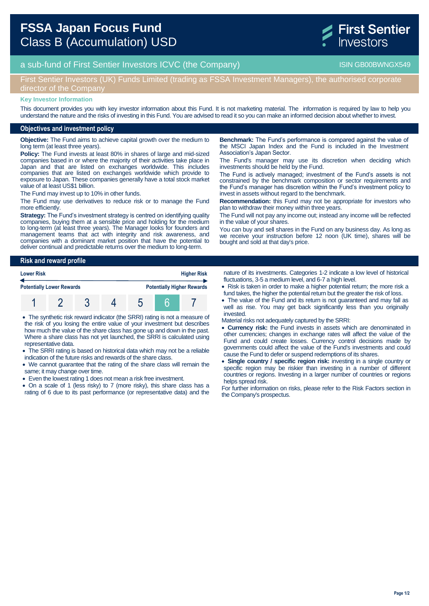

# a sub-fund of First Sentier Investors ICVC (the Company) and the Company ISIN GB00BWNGX549

## First Sentier Investors (UK) Funds Limited (trading as FSSA Investment Managers), the authorised corporate director of the Company

#### **Key Investor Information**

This document provides you with key investor information about this Fund. It is not marketing material. The information is required by law to help you understand the nature and the risks of investing in this Fund. You are advised to read it so you can make an informed decision about whether to invest.

### **Objectives and investment policy**

**Objective:** The Fund aims to achieve capital growth over the medium to long term (at least three years).

**Policy:** The Fund invests at least 80% in shares of large and mid-sized companies based in or where the majority of their activities take place in Japan and that are listed on exchanges worldwide. This includes companies that are listed on exchanges worldwide which provide to exposure to Japan. These companies generally have a total stock market value of at least US\$1 billion.

The Fund may invest up to 10% in other funds.

The Fund may use derivatives to reduce risk or to manage the Fund more efficiently.

**Strategy:** The Fund's investment strategy is centred on identifying quality companies, buying them at a sensible price and holding for the medium to long-term (at least three years). The Manager looks for founders and management teams that act with integrity and risk awareness, and companies with a dominant market position that have the potential to deliver continual and predictable returns over the medium to long-term.

**Benchmark:** The Fund's performance is compared against the value of the MSCI Japan Index and the Fund is included in the Investment Association's Japan Sector.

The Fund's manager may use its discretion when deciding which investments should be held by the Fund.

The Fund is actively managed; investment of the Fund's assets is not constrained by the benchmark composition or sector requirements and the Fund's manager has discretion within the Fund's investment policy to invest in assets without regard to the benchmark.

**Recommendation:** this Fund may not be appropriate for investors who plan to withdraw their money within three years.

The Fund will not pay any income out; instead any income will be reflected in the value of your shares.

You can buy and sell shares in the Fund on any business day. As long as we receive your instruction before 12 noon (UK time), shares will be bought and sold at that day's price.

### **Risk and reward profile**

| <b>Lower Risk</b>                |  |  |  | <b>Higher Risk</b> |  |                                   |
|----------------------------------|--|--|--|--------------------|--|-----------------------------------|
| <b>Potentially Lower Rewards</b> |  |  |  |                    |  | <b>Potentially Higher Rewards</b> |
|                                  |  |  |  |                    |  |                                   |

 The synthetic risk reward indicator (the SRRI) rating is not a measure of the risk of you losing the entire value of your investment but describes how much the value of the share class has gone up and down in the past. Where a share class has not yet launched, the SRRI is calculated using representative data.

 The SRRI rating is based on historical data which may not be a reliable indication of the future risks and rewards of the share class.

- We cannot guarantee that the rating of the share class will remain the same; it may change over time.
- Even the lowest rating 1 does not mean a risk free investment.

 On a scale of 1 (less risky) to 7 (more risky), this share class has a rating of 6 due to its past performance (or representative data) and the nature of its investments. Categories 1-2 indicate a low level of historical fluctuations, 3-5 a medium level, and 6-7 a high level.

- Risk is taken in order to make a higher potential return; the more risk a fund takes, the higher the potential return but the greater the risk of loss.
- The value of the Fund and its return is not guaranteed and may fall as well as rise. You may get back significantly less than you originally invested.

Material risks not adequately captured by the SRRI:

- **Currency risk:** the Fund invests in assets which are denominated in other currencies; changes in exchange rates will affect the value of the Fund and could create losses. Currency control decisions made by governments could affect the value of the Fund's investments and could cause the Fund to defer or suspend redemptions of its shares.
- **Single country / specific region risk:** investing in a single country or specific region may be riskier than investing in a number of different countries or regions. Investing in a larger number of countries or regions helps spread risk.

For further information on risks, please refer to the Risk Factors section in the Company's prospectus.